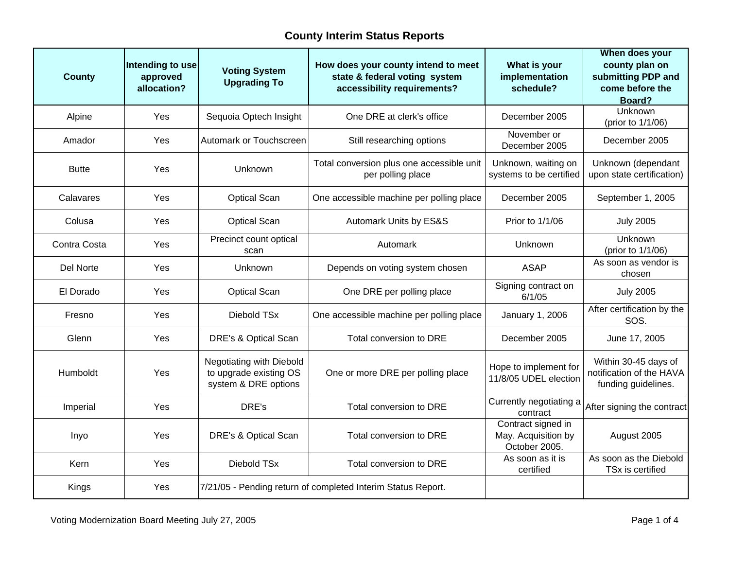| <b>County</b> | Intending to use<br>approved<br>allocation? | <b>Voting System</b><br><b>Upgrading To</b>                                | How does your county intend to meet<br>state & federal voting system<br>accessibility requirements? | What is your<br>implementation<br>schedule?                | When does your<br>county plan on<br>submitting PDP and<br>come before the<br>Board? |
|---------------|---------------------------------------------|----------------------------------------------------------------------------|-----------------------------------------------------------------------------------------------------|------------------------------------------------------------|-------------------------------------------------------------------------------------|
| Alpine        | Yes                                         | Sequoia Optech Insight                                                     | One DRE at clerk's office                                                                           | December 2005                                              | <b>Unknown</b><br>(prior to 1/1/06)                                                 |
| Amador        | Yes                                         | <b>Automark or Touchscreen</b>                                             | Still researching options                                                                           | November or<br>December 2005                               | December 2005                                                                       |
| <b>Butte</b>  | Yes                                         | Unknown                                                                    | Total conversion plus one accessible unit<br>per polling place                                      | Unknown, waiting on<br>systems to be certified             | Unknown (dependant<br>upon state certification)                                     |
| Calavares     | Yes                                         | <b>Optical Scan</b>                                                        | One accessible machine per polling place                                                            | December 2005                                              | September 1, 2005                                                                   |
| Colusa        | Yes                                         | <b>Optical Scan</b>                                                        | Automark Units by ES&S                                                                              | Prior to 1/1/06                                            | <b>July 2005</b>                                                                    |
| Contra Costa  | Yes                                         | Precinct count optical<br>scan                                             | Automark                                                                                            | Unknown                                                    | Unknown<br>(prior to 1/1/06)                                                        |
| Del Norte     | Yes                                         | <b>Unknown</b>                                                             | Depends on voting system chosen                                                                     | <b>ASAP</b>                                                | As soon as vendor is<br>chosen                                                      |
| El Dorado     | Yes                                         | <b>Optical Scan</b>                                                        | One DRE per polling place                                                                           | Signing contract on<br>6/1/05                              | <b>July 2005</b>                                                                    |
| Fresno        | Yes                                         | Diebold TSx                                                                | One accessible machine per polling place                                                            | January 1, 2006                                            | After certification by the<br>SOS.                                                  |
| Glenn         | <b>Yes</b>                                  | DRE's & Optical Scan                                                       | Total conversion to DRE                                                                             | December 2005                                              | June 17, 2005                                                                       |
| Humboldt      | Yes                                         | Negotiating with Diebold<br>to upgrade existing OS<br>system & DRE options | One or more DRE per polling place                                                                   | Hope to implement for<br>11/8/05 UDEL election             | Within 30-45 days of<br>notification of the HAVA<br>funding guidelines.             |
| Imperial      | Yes                                         | DRE's                                                                      | Total conversion to DRE                                                                             | Currently negotiating a<br>contract                        | After signing the contract                                                          |
| Inyo          | Yes                                         | DRE's & Optical Scan                                                       | Total conversion to DRE                                                                             | Contract signed in<br>May. Acquisition by<br>October 2005. | August 2005                                                                         |
| Kern          | Yes                                         | Diebold TSx                                                                | Total conversion to DRE                                                                             | As soon as it is<br>certified                              | As soon as the Diebold<br>TSx is certified                                          |
| Kings         | Yes                                         |                                                                            | 7/21/05 - Pending return of completed Interim Status Report.                                        |                                                            |                                                                                     |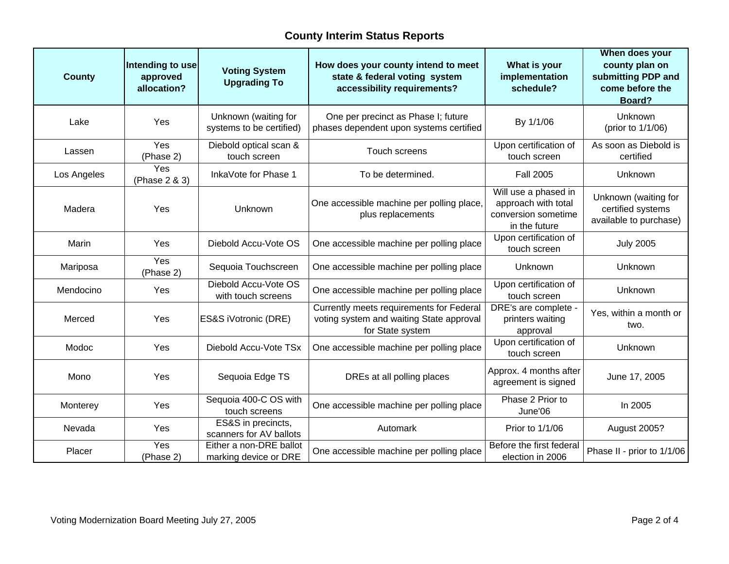| <b>County</b> | Intending to use<br>approved<br>allocation? | <b>Voting System</b><br><b>Upgrading To</b>      | How does your county intend to meet<br>state & federal voting system<br>accessibility requirements?      | What is your<br>implementation<br>schedule?                                         | When does your<br>county plan on<br>submitting PDP and<br>come before the<br>Board? |
|---------------|---------------------------------------------|--------------------------------------------------|----------------------------------------------------------------------------------------------------------|-------------------------------------------------------------------------------------|-------------------------------------------------------------------------------------|
| Lake          | Yes                                         | Unknown (waiting for<br>systems to be certified) | One per precinct as Phase I; future<br>phases dependent upon systems certified                           | By 1/1/06                                                                           | Unknown<br>(prior to 1/1/06)                                                        |
| Lassen        | Yes<br>(Phase 2)                            | Diebold optical scan &<br>touch screen           | Touch screens                                                                                            | Upon certification of<br>touch screen                                               | As soon as Diebold is<br>certified                                                  |
| Los Angeles   | Yes<br>(Phase 2 & 3)                        | InkaVote for Phase 1                             | To be determined.                                                                                        | <b>Fall 2005</b>                                                                    | Unknown                                                                             |
| Madera        | Yes                                         | Unknown                                          | One accessible machine per polling place,<br>plus replacements                                           | Will use a phased in<br>approach with total<br>conversion sometime<br>in the future | Unknown (waiting for<br>certified systems<br>available to purchase)                 |
| Marin         | Yes                                         | Diebold Accu-Vote OS                             | One accessible machine per polling place                                                                 | Upon certification of<br>touch screen                                               | <b>July 2005</b>                                                                    |
| Mariposa      | Yes<br>(Phase 2)                            | Sequoia Touchscreen                              | One accessible machine per polling place                                                                 | Unknown                                                                             | Unknown                                                                             |
| Mendocino     | Yes                                         | Diebold Accu-Vote OS<br>with touch screens       | One accessible machine per polling place                                                                 | Upon certification of<br>touch screen                                               | Unknown                                                                             |
| Merced        | Yes                                         | ES&S iVotronic (DRE)                             | Currently meets requirements for Federal<br>voting system and waiting State approval<br>for State system | DRE's are complete -<br>printers waiting<br>approval                                | Yes, within a month or<br>two.                                                      |
| Modoc         | Yes                                         | Diebold Accu-Vote TSx                            | One accessible machine per polling place                                                                 | Upon certification of<br>touch screen                                               | Unknown                                                                             |
| Mono          | Yes                                         | Sequoia Edge TS                                  | DREs at all polling places                                                                               | Approx. 4 months after<br>agreement is signed                                       | June 17, 2005                                                                       |
| Monterey      | Yes                                         | Sequoia 400-C OS with<br>touch screens           | One accessible machine per polling place                                                                 | Phase 2 Prior to<br>June'06                                                         | In 2005                                                                             |
| Nevada        | Yes                                         | ES&S in precincts,<br>scanners for AV ballots    | Automark                                                                                                 | Prior to 1/1/06                                                                     | August 2005?                                                                        |
| Placer        | Yes<br>(Phase 2)                            | Either a non-DRE ballot<br>marking device or DRE | One accessible machine per polling place                                                                 | Before the first federal<br>election in 2006                                        | Phase II - prior to 1/1/06                                                          |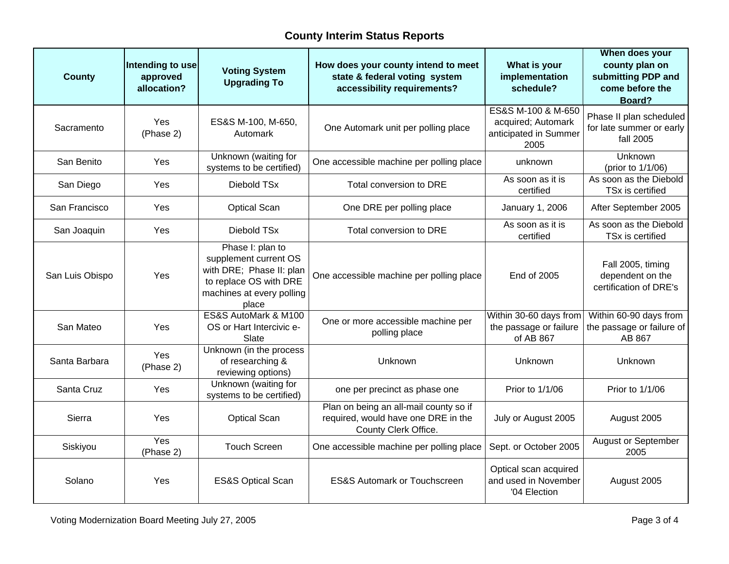| <b>County</b>   | Intending to use<br>approved<br>allocation? | <b>Voting System</b><br><b>Upgrading To</b>                                                                                           | How does your county intend to meet<br>state & federal voting system<br>accessibility requirements?   | What is your<br>implementation<br>schedule?                               | When does your<br>county plan on<br>submitting PDP and<br>come before the<br>Board? |
|-----------------|---------------------------------------------|---------------------------------------------------------------------------------------------------------------------------------------|-------------------------------------------------------------------------------------------------------|---------------------------------------------------------------------------|-------------------------------------------------------------------------------------|
| Sacramento      | Yes<br>(Phase 2)                            | ES&S M-100, M-650,<br>Automark                                                                                                        | One Automark unit per polling place                                                                   | ES&S M-100 & M-650<br>acquired; Automark<br>anticipated in Summer<br>2005 | Phase II plan scheduled<br>for late summer or early<br>fall 2005                    |
| San Benito      | Yes                                         | Unknown (waiting for<br>systems to be certified)                                                                                      | One accessible machine per polling place                                                              | unknown                                                                   | Unknown<br>(prior to 1/1/06)                                                        |
| San Diego       | Yes                                         | Diebold TSx                                                                                                                           | Total conversion to DRE                                                                               | As soon as it is<br>certified                                             | As soon as the Diebold<br>TSx is certified                                          |
| San Francisco   | Yes                                         | <b>Optical Scan</b>                                                                                                                   | One DRE per polling place                                                                             | January 1, 2006                                                           | After September 2005                                                                |
| San Joaquin     | Yes                                         | Diebold TSx                                                                                                                           | Total conversion to DRE                                                                               | As soon as it is<br>certified                                             | As soon as the Diebold<br>TSx is certified                                          |
| San Luis Obispo | Yes                                         | Phase I: plan to<br>supplement current OS<br>with DRE; Phase II: plan<br>to replace OS with DRE<br>machines at every polling<br>place | One accessible machine per polling place                                                              | End of 2005                                                               | Fall 2005, timing<br>dependent on the<br>certification of DRE's                     |
| San Mateo       | Yes                                         | ES&S AutoMark & M100<br>OS or Hart Intercivic e-<br>Slate                                                                             | One or more accessible machine per<br>polling place                                                   | Within 30-60 days from<br>the passage or failure<br>of AB 867             | Within 60-90 days from<br>the passage or failure of<br>AB 867                       |
| Santa Barbara   | Yes<br>(Phase 2)                            | Unknown (in the process<br>of researching &<br>reviewing options)                                                                     | Unknown                                                                                               | Unknown                                                                   | Unknown                                                                             |
| Santa Cruz      | Yes                                         | Unknown (waiting for<br>systems to be certified)                                                                                      | one per precinct as phase one                                                                         | Prior to 1/1/06                                                           | Prior to 1/1/06                                                                     |
| Sierra          | Yes                                         | <b>Optical Scan</b>                                                                                                                   | Plan on being an all-mail county so if<br>required, would have one DRE in the<br>County Clerk Office. | July or August 2005                                                       | August 2005                                                                         |
| Siskiyou        | Yes<br>(Phase 2)                            | <b>Touch Screen</b>                                                                                                                   | One accessible machine per polling place                                                              | Sept. or October 2005                                                     | August or September<br>2005                                                         |
| Solano          | Yes                                         | <b>ES&amp;S Optical Scan</b>                                                                                                          | <b>ES&amp;S Automark or Touchscreen</b>                                                               | Optical scan acquired<br>and used in November<br>'04 Election             | August 2005                                                                         |